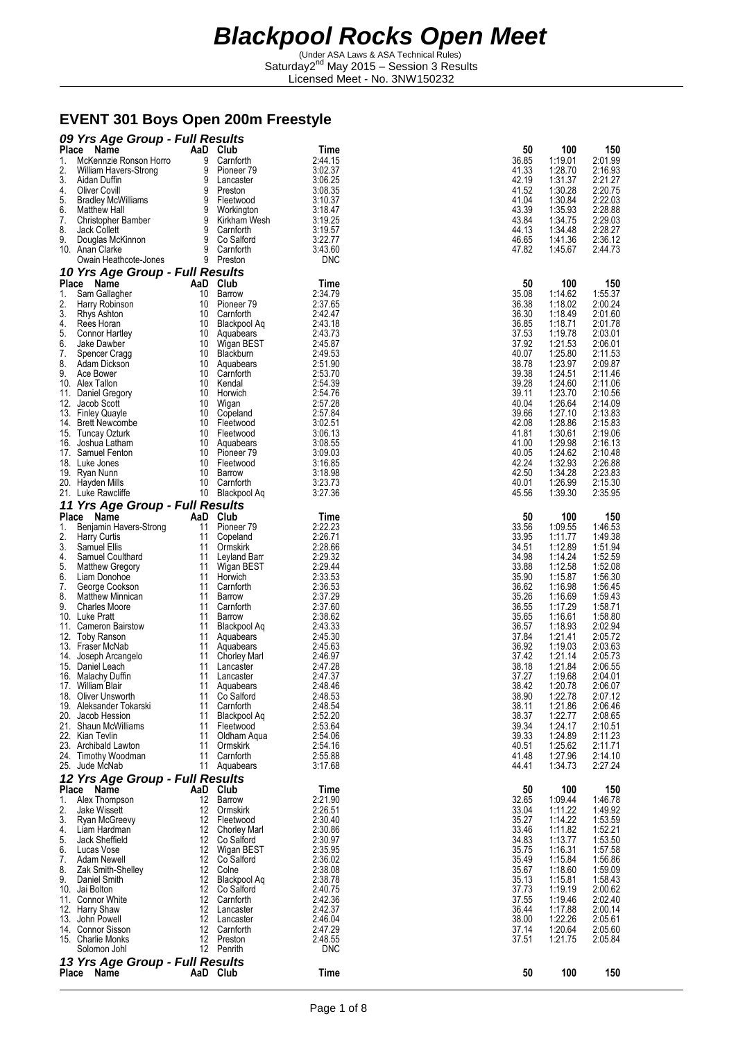(Under ASA Laws & ASA Technical Rules) Saturday2<sup>nd</sup> May 2015 - Session 3 Results Licensed Meet - No. 3NW150232

#### **EVENT 301 Boys Open 200m Freestyle**

|          | 09 Yrs Age Group - Full Results                 |          |                                  |                       |                |                    |                    |
|----------|-------------------------------------------------|----------|----------------------------------|-----------------------|----------------|--------------------|--------------------|
|          | Place Name                                      |          | AaD Club                         | Time                  | 50             | 100                | 150                |
| 1.       | McKennzie Ronson Horro                          | 9        | Carnforth                        | 2:44.15<br>3:02.37    | 36.85          | 1:19.01            | 2:01.99            |
| 2.<br>3. | William Havers-Strong<br>Aidan Duffin           | 9<br>9   | Pioneer 79<br>Lancaster          | 3:06.25               | 41.33<br>42.19 | 1:28.70<br>1:31.37 | 2:16.93<br>2:21.27 |
| 4.       | <b>Oliver Covill</b>                            | 9        | Preston                          | 3:08.35               | 41.52          | 1:30.28            | 2:20.75            |
| 5.       | <b>Bradley McWilliams</b>                       | 9        | Fleetwood                        | 3:10.37               | 41.04          | 1:30.84            | 2:22.03            |
| 6.       | <b>Matthew Hall</b>                             | 9        | Workington                       | 3:18.47               | 43.39          | 1:35.93            | 2:28.88            |
| 7.       | Christopher Bamber                              | 9        | Kirkham Wesh                     | 3:19.25               | 43.84          | 1:34.75            | 2:29.03            |
| 8.       | Jack Collett                                    | 9<br>9   | Carnforth                        | 3:19.57<br>3:22.77    | 44.13          | 1:34.48            | 2:28.27            |
| 9.       | Douglas McKinnon<br>10. Anan Clarke             | 9        | Co Salford<br>Carnforth          | 3:43.60               | 46.65<br>47.82 | 1:41.36<br>1:45.67 | 2:36.12<br>2:44.73 |
|          | Owain Heathcote-Jones                           |          | 9 Preston                        | <b>DNC</b>            |                |                    |                    |
|          | 10 Yrs Age Group - Full Results                 |          |                                  |                       |                |                    |                    |
|          | Place Name                                      |          | AaD Club                         | Time                  | 50             | 100                | 150                |
| 1.       | Sam Gallagher                                   | 10       | Barrow                           | 2:34.79               | 35.08          | 1:14.62            | 1:55.37            |
| 2.       | Harry Robinson                                  | 10       | Pioneer 79                       | 2:37.65               | 36.38          | 1:18.02            | 2:00.24            |
| 3.<br>4. | Rhys Ashton<br>Rees Horan                       | 10<br>10 | Carnforth<br>Blackpool Aq        | 2:42.47<br>2:43.18    | 36.30<br>36.85 | 1:18.49<br>1:18.71 | 2:01.60<br>2:01.78 |
| 5.       | Connor Hartley                                  |          | 10 Aquabears                     | 2:43.73               | 37.53          | 1:19.78            | 2:03.01            |
| 6.       | Jake Dawber                                     |          | 10 Wigan BEST                    | 2:45.87               | 37.92          | 1:21.53            | 2:06.01            |
| 7.       | Spencer Cragg                                   | 10       | Blackburn                        | 2:49.53               | 40.07          | 1:25.80            | 2:11.53            |
| 8.       | Adam Dickson                                    | 10       | Aquabears                        | 2:51.90               | 38.78          | 1:23.97            | 2:09.87            |
| 9.       | Ace Bower<br>10. Alex Tallon                    | 10<br>10 | Carnforth<br>Kendal              | 2:53.70<br>2:54.39    | 39.38<br>39.28 | 1:24.51<br>1:24.60 | 2:11.46<br>2:11.06 |
|          | 11. Daniel Gregory                              | 10       | Horwich                          | 2:54.76               | 39.11          | 1:23.70            | 2:10.56            |
|          | 12. Jacob Scott                                 | 10       | Wigan                            | 2:57.28               | 40.04          | 1:26.64            | 2:14.09            |
|          | 13. Finley Quayle                               |          | 10 Copeland                      | 2:57.84               | 39.66          | 1:27.10            | 2:13.83            |
|          | 14. Brett Newcombe                              |          | 10 Fleetwood                     | 3:02.51               | 42.08          | 1:28.86            | 2:15.83            |
|          | 15. Tuncay Ozturk                               |          | 10 Fleetwood                     | 3:06.13               | 41.81          | 1:30.61            | 2:19.06            |
|          | 16. Joshua Latham<br>17. Samuel Fenton          | 10<br>10 | Aquabears<br>Pioneer 79          | 3:08.55<br>3:09.03    | 41.00<br>40.05 | 1:29.98<br>1:24.62 | 2:16.13<br>2:10.48 |
|          | 18. Luke Jones                                  | 10       | Fleetwood                        | 3:16.85               | 42.24          | 1:32.93            | 2:26.88            |
|          | 19. Ryan Nunn                                   | 10       | Barrow                           | 3:18.98               | 42.50          | 1:34.28            | 2:23.83            |
|          | 20. Hayden Mills                                |          | 10 Carnforth                     | 3:23.73               | 40.01          | 1:26.99            | 2:15.30            |
|          | 21. Luke Rawcliffe                              |          | 10 Blackpool Aq                  | 3:27.36               | 45.56          | 1:39.30            | 2:35.95            |
|          | 11 Yrs Age Group - Full Results                 |          |                                  |                       |                |                    |                    |
|          | Place Name                                      |          | AaD Club                         | Time                  | 50             | 100                | 150                |
| 1.       | Benjamin Havers-Strong                          | 11       | Pioneer <sub>79</sub>            | 2:22.23               | 33.56          | 1:09.55            | 1:46.53            |
| 2.<br>3. | <b>Harry Curtis</b><br>Samuel Ellis             | 11<br>11 | Copeland<br>Ormskirk             | 2:26.71<br>2:28.66    | 33.95<br>34.51 | 1:11.77<br>1:12.89 | 1:49.38<br>1:51.94 |
| 4.       | Samuel Coulthard                                | 11       | Leyland Barr                     | 2:29.32               | 34.98          | 1:14.24            | 1:52.59            |
| 5.       | <b>Matthew Gregory</b>                          | 11       | Wigan BEST                       | 2:29.44               | 33.88          | 1:12.58            | 1:52.08            |
| 6.       | Liam Donohoe                                    | 11       | Horwich                          | 2:33.53               | 35.90          | 1:15.87            | 1:56.30            |
| 7.       | George Cookson                                  | 11       | Carnforth                        | 2:36.53               | 36.62          | 1:16.98            | 1:56.45            |
| 8.<br>9. | <b>Matthew Minnican</b><br><b>Charles Moore</b> | 11<br>11 | Barrow<br>Carnforth              | 2:37.29<br>2:37.60    | 35.26<br>36.55 | 1:16.69<br>1:17.29 | 1:59.43<br>1:58.71 |
|          | 10. Luke Pratt                                  | 11       | Barrow                           | 2:38.62               | 35.65          | 1:16.61            | 1:58.80            |
|          | 11. Cameron Bairstow                            | 11       | Blackpool Aq                     | 2:43.33               | 36.57          | 1:18.93            | 2:02.94            |
|          | 12. Toby Ranson                                 | 11       | Aquabears                        | 2:45.30               | 37.84          | 1:21.41            | 2:05.72            |
|          | 13. Fraser McNab                                | 11       | Aquabears                        | 2:45.63               | 36.92          | 1:19.03            | 2:03.63            |
|          | 14. Joseph Arcangelo<br>15. Daniel Leach        | 11<br>11 | Chorley Marl<br>Lancaster        | 2:46.97<br>2:47.28    | 37.42<br>38.18 | 1:21.14<br>1:21.84 | 2:05.73<br>2:06.55 |
|          | 16. Malachy Duffin                              | 11       | Lancaster                        | 2:47.37               | 37.27          | 1:19.68            | 2:04.01            |
|          | 17. William Blair                               |          | 11 Aquabears                     | 2:48.46               | 38.42          | 1:20.78            | 2:06.07            |
|          | 18. Oliver Unsworth                             | 11       | Co Salford                       | 2:48.53               | 38.90          | 1:22.78            | 2:07.12            |
|          | 19. Aleksander Tokarski                         |          | 11 Carnforth                     | 2:48.54               | 38.11          | 1:21.86            | 2:06.46            |
|          | 20. Jacob Hession<br>21. Shaun McWilliams       |          | 11 Blackpool Aq                  | 2:52.20<br>2:53.64    | 38.37<br>39.34 | 1:22.77<br>1:24.17 | 2:08.65            |
|          | 22. Kian Tevlin                                 |          | 11 Fleetwood<br>11 Oldham Aqua   | 2:54.06               | 39.33          | 1:24.89            | 2:10.51<br>2:11.23 |
|          | 23. Archibald Lawton                            |          | 11 Ormskirk                      | 2:54.16               | 40.51          | 1:25.62            | 2:11.71            |
|          | 24. Timothy Woodman                             | 11       | Carnforth                        | 2:55.88               | 41.48          | 1:27.96            | 2:14.10            |
|          | 25. Jude McNab                                  |          | 11 Aguabears                     | 3:17.68               | 44.41          | 1:34.73            | 2:27.24            |
|          | 12 Yrs Age Group - Full Results                 |          |                                  |                       |                |                    |                    |
|          | Place Name                                      |          | AaD Club                         | Time                  | 50             | 100                | 150                |
| 1.       | Alex Thompson                                   | 12       | Barrow                           | 2:21.90               | 32.65          | 1:09.44            | 1:46.78            |
| 2.       | Jake Wissett                                    |          | 12 Ormskirk<br>12 Fleetwood      | 2:26.51               | 33.04          | 1:11.22            | 1:49.92            |
|          | 3. Ryan McGreevy<br>4. Liam Hardman             |          | 12 Chorley Marl                  | 2:30.40<br>2:30.86    | 35.27<br>33.46 | 1:14.22<br>1:11.82 | 1:53.59<br>1:52.21 |
| 5.       | Jack Sheffield                                  |          | 12 Co Salford                    | 2:30.97               | 34.83          | 1:13.77            | 1:53.50            |
| 6.       | Lucas Vose                                      |          | 12 Wigan BEST                    | 2:35.95               | 35.75          | 1:16.31            | 1:57.58            |
| 7.       | Adam Newell                                     |          | 12 Co Salford                    | 2:36.02               | 35.49          | 1:15.84            | 1:56.86            |
| 8.       | Zak Smith-Shelley                               |          | 12 Colne                         | 2:38.08               | 35.67          | 1:18.60            | 1:59.09            |
|          | 9. Daniel Smith<br>10. Jai Bolton               |          | 12 Blackpool Aq<br>12 Co Salford | 2:38.78<br>2:40.75    | 35.13<br>37.73 | 1:15.81<br>1:19.19 | 1:58.43<br>2:00.62 |
|          | 11. Connor White                                |          | 12 Carnforth                     | 2:42.36               | 37.55          | 1:19.46            | 2:02.40            |
|          | 12. Harry Shaw                                  |          | 12 Lancaster                     | 2:42.37               | 36.44          | 1:17.88            | 2:00.14            |
|          | 13. John Powell                                 |          | 12 Lancaster                     | 2:46.04               | 38.00          | 1:22.26            | 2:05.61            |
|          | 14. Connor Sisson                               |          | 12 Carnforth                     | 2:47.29               | 37.14          | 1:20.64            | 2:05.60            |
|          | 15. Charlie Monks<br>Solomon Johl               |          | 12 Preston<br>12 Penrith         | 2:48.55<br><b>DNC</b> | 37.51          | 1:21.75            | 2:05.84            |
|          |                                                 |          |                                  |                       |                |                    |                    |
|          | 13 Yrs Age Group - Full Results<br>Place Name   |          | AaD Club                         | <b>Time</b>           | 50             | 100                | 150                |
|          |                                                 |          |                                  |                       |                |                    |                    |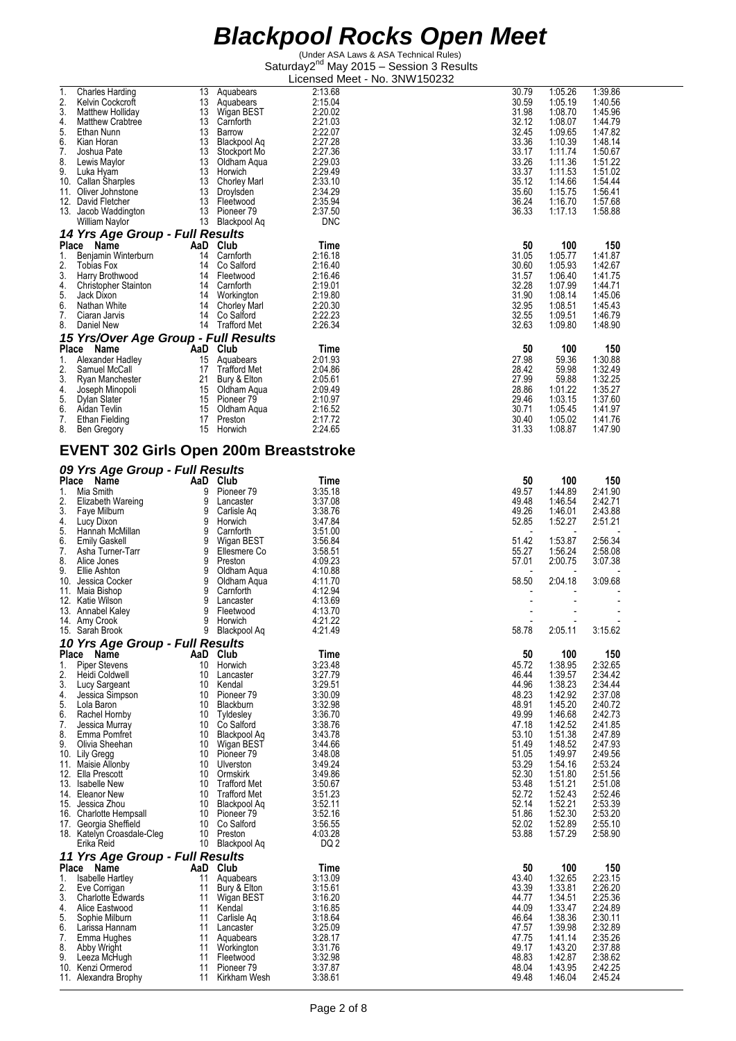| 1.       | <b>Charles Harding</b>                              | 13                    | Aquabears                    | 2:13.68            | 30.79          | 1:05.26            | 1:39.86            |
|----------|-----------------------------------------------------|-----------------------|------------------------------|--------------------|----------------|--------------------|--------------------|
| 2.       | Kelvin Cockcroft                                    | 13                    | Aquabears                    | 2:15.04            | 30.59          | 1:05.19            | 1:40.56            |
| 3.       | Matthew Holliday                                    | 13                    | Wigan BEST                   | 2:20.02            | 31.98          | 1:08.70            | 1:45.96            |
| 4.       | <b>Matthew Crabtree</b>                             | 13                    | Carnforth                    | 2:21.03            | 32.12          | 1:08.07            | 1:44.79            |
| 5.       | Ethan Nunn                                          | 13                    | Barrow                       | 2:22.07            | 32.45          | 1:09.65            | 1:47.82            |
| 6.       | Kian Horan                                          | 13                    | Blackpool Aq                 | 2:27.28            | 33.36          | 1:10.39            | 1:48.14            |
| 7.       | Joshua Pate                                         | 13                    | Stockport Mo                 | 2:27.36            | 33.17          | 1:11.74            | 1:50.67            |
| 8.       | Lewis Maylor                                        | 13                    | Oldham Agua                  | 2:29.03            | 33.26          | 1:11.36            | 1:51.22            |
| 9.       | Luka Hyam                                           | 13                    | Horwich                      | 2:29.49            | 33.37          | 1:11.53            | 1:51.02            |
|          | 10. Callan Sharples                                 | 13                    | <b>Chorley Marl</b>          | 2:33.10            | 35.12          | 1:14.66            | 1:54.44            |
|          | 11. Oliver Johnstone                                | 13                    | Droylsden                    | 2:34.29            | 35.60          | 1:15.75            | 1:56.41            |
|          | 12. David Fletcher                                  | 13                    | Fleetwood                    | 2:35.94            | 36.24          | 1:16.70            | 1:57.68            |
|          | 13. Jacob Waddington                                | 13                    | Pioneer 79                   | 2:37.50            | 36.33          | 1:17.13            | 1:58.88            |
|          | William Naylor                                      | 13                    | Blackpool Aq                 | <b>DNC</b>         |                |                    |                    |
|          | 14 Yrs Age Group - Full Results                     |                       |                              |                    |                |                    |                    |
|          | Place Name                                          |                       | AaD Club                     | Time               | 50             | 100                | 150                |
| 1.       | Benjamin Winterburn                                 | 14                    | Carnforth                    | 2:16.18            | 31.05          | 1:05.77            | 1:41.87            |
| 2.       | <b>Tobias Fox</b>                                   | 14                    | Co Salford                   | 2:16.40            | 30.60          | 1:05.93            | 1:42.67            |
| 3.       | Harry Brothwood                                     |                       | 14 Fleetwood                 | 2:16.46            | 31.57          | 1:06.40            | 1:41.75            |
| 4.       | <b>Christopher Stainton</b>                         | 14                    | Carnforth                    | 2:19.01            | 32.28          | 1:07.99            | 1:44.71            |
| 5.       | Jack Dixon                                          |                       | 14 Workington                | 2:19.80            | 31.90          | 1:08.14            | 1:45.06            |
| 6.       | Nathan White                                        | 14                    | Chorley Marl                 | 2:20.30            | 32.95<br>32.55 | 1:08.51            | 1:45.43            |
| 7.<br>8. | Ciaran Jarvis<br>Daniel New                         | 14<br>14              | Co Salford<br>Trafford Met   | 2:22.23<br>2:26.34 | 32.63          | 1:09.51<br>1:09.80 | 1:46.79<br>1:48.90 |
|          |                                                     |                       |                              |                    |                |                    |                    |
|          | 15 Yrs/Over Age Group - Full Results                |                       |                              |                    |                |                    |                    |
|          | Place Name                                          | AaD Club <sup>-</sup> |                              | Time               | 50             | 100                | 150                |
| 1.       | Alexander Hadley                                    | 15                    | Aguabears                    | 2:01.93            | 27.98          | 59.36              | 1:30.88            |
| 2.       | Samuel McCall                                       |                       | 17 Trafford Met              | 2:04.86            | 28.42          | 59.98              | 1:32.49            |
| 3.       | Ryan Manchester                                     | 21                    | Bury & Elton                 | 2:05.61            | 27.99          | 59.88              | 1:32.25            |
| 4.<br>5. | Joseph Minopoli                                     | 15                    | Oldham Aqua<br>15 Pioneer 79 | 2:09.49<br>2:10.97 | 28.86<br>29.46 | 1:01.22<br>1:03.15 | 1:35.27<br>1:37.60 |
| 6.       | Dylan Slater<br>Aidan Tevlin                        |                       | 15 Oldham Aqua               | 2:16.52            | 30.71          | 1:05.45            | 1:41.97            |
| 7.       | Ethan Fielding                                      | 17                    | Preston                      | 2:17.72            | 30.40          | 1:05.02            | 1:41.76            |
| 8.       | Ben Gregory                                         | 15                    | Horwich                      | 2:24.65            | 31.33          | 1:08.87            | 1:47.90            |
|          |                                                     |                       |                              |                    |                |                    |                    |
|          | <b>EVENT 302 Girls Open 200m Breaststroke</b>       |                       |                              |                    |                |                    |                    |
|          |                                                     |                       |                              |                    |                |                    |                    |
|          | 09 Yrs Age Group - Full Results                     |                       |                              |                    |                |                    |                    |
|          | Place Name                                          |                       | AaD Club                     | Time               | 50             | 100                | 150                |
| 1.       | Mia Smith                                           | 9                     | Pioneer <sub>79</sub>        | 3:35.18            | 49.57          | 1:44.89            | 2:41.90            |
| 2.       | Elizabeth Wareing                                   | 9                     | Lancaster                    | 3:37.08            | 49.48          | 1:46.54            | 2:42.71            |
| 3.       | Faye Milburn                                        | 9                     | Carlisle Aq                  | 3:38.76            | 49.26          | 1:46.01            | 2:43.88            |
| 4.       | Lucy Dixon                                          | 9                     | Horwich                      | 3:47.84            | 52.85          | 1:52.27            | 2:51.21            |
| 5.       | Hannah McMillan                                     | 9                     | Carnforth                    | 3:51.00            |                |                    |                    |
| 6.       | <b>Emily Gaskell</b>                                | 9                     | Wigan BEST                   | 3:56.84            | 51.42          | 1:53.87            | 2:56.34            |
| 7.       | Asha Turner-Tarr                                    | 9                     | Ellesmere Co                 | 3:58.51            | 55.27          | 1:56.24            | 2:58.08            |
| 8.       | Alice Jones                                         | 9                     | Preston                      | 4:09.23            | 57.01          | 2:00.75            | 3:07.38            |
| 9.       | Ellie Ashton                                        | 9                     | Oldham Aqua                  | 4:10.88            |                |                    |                    |
|          | 10. Jessica Cocker                                  | 9                     | Oldham Aqua                  | 4:11.70            | 58.50          | 2:04.18            | 3:09.68            |
|          | 11. Maia Bishop                                     | 9                     | Carnforth                    | 4:12.94            |                |                    |                    |
|          | 12. Katie Wilson                                    | 9                     | Lancaster                    | 4:13.69            |                |                    |                    |
|          | 13. Annabel Kaley                                   | 9<br>9                | Fleetwood                    | 4:13.70<br>4:21.22 |                |                    |                    |
|          | 14. Amy Crook<br>15. Sarah Brook                    | 9                     | Horwich<br>Blackpool Aq      | 4.21.49            | 58.78          | 2:05.11            | 3:15.62            |
|          |                                                     |                       |                              |                    |                |                    |                    |
|          | 10 Yrs Age Group - Full Results                     |                       |                              |                    |                |                    |                    |
| Place    | Name                                                |                       | AaD Club                     | Time               | 50             | 100                | 150                |
| 1.       | <b>Piper Stevens</b>                                | 10                    | Horwich                      | 3:23.48            | 45.72          | 1:38.95            | 2:32.65<br>2:34.42 |
| 2.<br>3. | Heidi Coldwell                                      | 10<br>10              | Lancaster                    | 3:27.79<br>3:29.51 | 46.44<br>44.96 | 1:39.57<br>1:38.23 | 2:34.44            |
| 4.       | Lucy Sargeant<br>Jessica Simpson                    | 10                    | Kendal<br>Pioneer 79         | 3:30.09            | 48.23          | 1:42.92            | 2:37.08            |
| 5.       | Lola Baron                                          | 10                    | Blackburn                    | 3:32.98            | 48.91          | 1:45.20            | 2:40.72            |
| 6.       | Rachel Hornby                                       | 10                    | Tyldesley                    | 3:36.70            | 49.99          | 1:46.68            | 2:42.73            |
| 7.       | Jessica Murray                                      | 10                    | Co Salford                   | 3:38.76            | 47.18          | 1:42.52            | 2:41.85            |
| 8.       | Emma Pomfret                                        | 10                    | Blackpool Aq                 | 3:43.78            | 53.10          | 1:51.38            | 2:47.89            |
| 9.       | Olivia Sheehan                                      | 10                    | Wigan BEST                   | 3:44.66            | 51.49          | 1:48.52            | 2:47.93            |
|          | 10. Lily Gregg                                      | 10                    | Pioneer <sub>79</sub>        | 3:48.08            | 51.05          | 1:49.97            | 2:49.56            |
|          | 11. Maisie Allonby                                  | 10                    | Ulverston                    | 3:49.24            | 53.29          | 1:54.16            | 2:53.24            |
|          | 12. Ella Prescott                                   | 10                    | Ormskirk                     | 3:49.86            | 52.30          | 1:51.80            | 2:51.56            |
|          | 13. Isabelle New                                    | 10                    | <b>Trafford Met</b>          | 3:50.67            | 53.48          | 1:51.21            | 2:51.08            |
|          | 14. Eleanor New                                     | 10                    | <b>Trafford Met</b>          | 3:51.23            | 52.72          | 1:52.43            | 2:52.46            |
|          | 15. Jessica Zhou                                    | 10                    | Blackpool Aq                 | 3:52.11            | 52.14          | 1:52.21            | 2:53.39            |
|          | 16. Charlotte Hempsall                              | 10                    | Pioneer <sub>79</sub>        | 3:52.16            | 51.86          | 1:52.30            | 2:53.20            |
|          | 17. Georgia Sheffield<br>18. Katelyn Croasdale-Cleg | 10<br>10              | Co Salford                   | 3:56.55            | 52.02          | 1:52.89            | 2:55.10            |
|          |                                                     |                       | Preston                      | 4:03.28<br>DQ 2    | 53.88          | 1:57.29            | 2:58.90            |
|          |                                                     |                       |                              |                    |                |                    |                    |
|          | Erika Reid                                          | 10                    | Blackpool Aq                 |                    |                |                    |                    |
|          | 11 Yrs Age Group - Full Results                     |                       |                              |                    |                |                    |                    |
|          | Place Name                                          | AaD                   | Club                         | Time               | 50             | 100                | 150                |
| 1.       | Isabelle Hartley                                    | 11                    | Aquabears                    | 3:13.09            | 43.40          | 1:32.65            | 2:23.15            |
| 2.       | Eve Corrigan                                        | 11                    | Bury & Elton                 | 3:15.61            | 43.39          | 1:33.81            | 2:26.20            |
| 3.       | <b>Charlotte Edwards</b>                            | 11                    | Wigan BEST                   | 3:16.20            | 44.77          | 1:34.51            | 2:25.36            |
| 4.       | Alice Eastwood                                      | 11                    | Kendal                       | 3:16.85            | 44.09          | 1:33.47            | 2:24.89            |
| 5.       | Sophie Milburn                                      | 11                    | Carlisle Aq                  | 3:18.64            | 46.64          | 1:38.36            | 2:30.11            |
| 6.       | Larissa Hannam                                      | 11                    | Lancaster                    | 3:25.09            | 47.57          | 1:39.98            | 2:32.89            |
| 7.       | Emma Hughes                                         | 11                    | Aquabears                    | 3:28.17            | 47.75          | 1:41.14            | 2:35.26            |
| 8.       | Abby Wright                                         | 11                    | Workington                   | 3:31.76            | 49.17          | 1:43.20            | 2:37.88            |
| 9.       | Leeza McHugh<br>10. Kenzi Ormerod                   | 11<br>11              | Fleetwood<br>Pioneer 79      | 3:32.98<br>3:37.87 | 48.83<br>48.04 | 1:42.87<br>1:43.95 | 2:38.62<br>2:42.25 |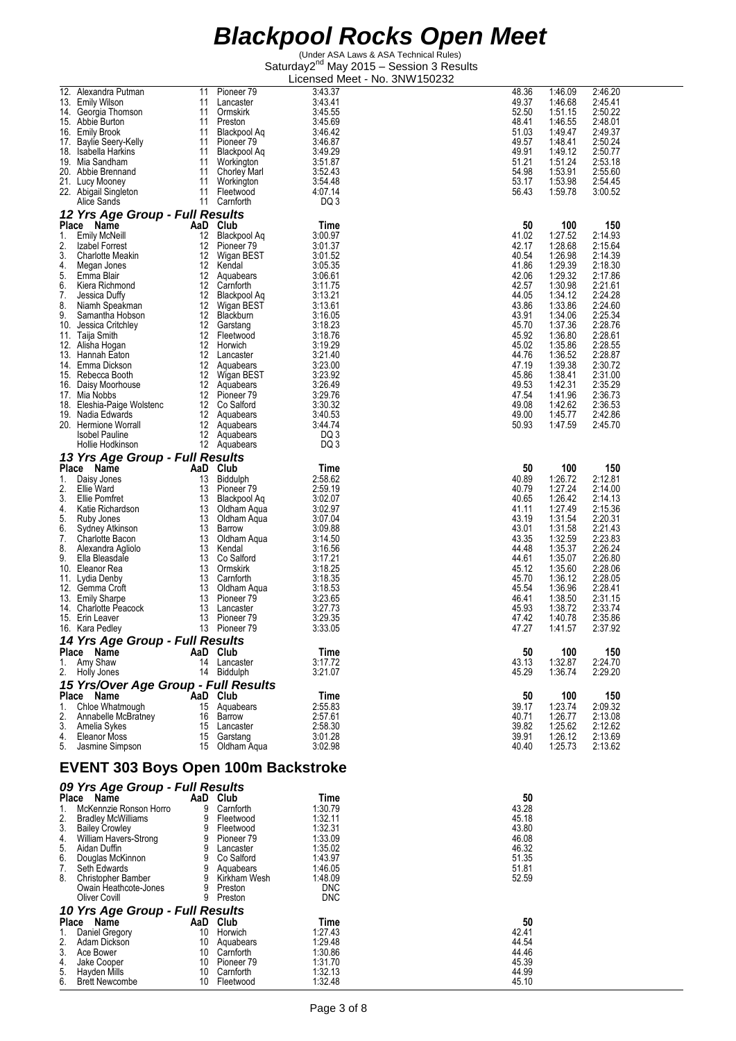|          | 12. Alexandra Putman                       | 11 | Pioneer <sub>79</sub> | 3:43.37            | 48.36          | 1:46.09 | 2:46.20 |
|----------|--------------------------------------------|----|-----------------------|--------------------|----------------|---------|---------|
|          | 13. Emily Wilson                           | 11 | Lancaster             | 3:43.41            | 49.37          | 1:46.68 | 2:45.41 |
|          | 14. Georgia Thomson                        | 11 | Ormskirk              | 3:45.55            | 52.50          | 1:51.15 | 2:50.22 |
|          |                                            |    |                       |                    |                |         |         |
|          | 15. Abbie Burton                           | 11 | Preston               | 3:45.69            | 48.41          | 1:46.55 | 2:48.01 |
|          | 16. Emily Brook                            | 11 | Blackpool Ag          | 3:46.42            | 51.03          | 1:49.47 | 2:49.37 |
|          | 17. Baylie Seery-Kelly                     | 11 | Pioneer 79            | 3:46.87            | 49.57          | 1:48.41 | 2:50.24 |
| 18.      | Isabella Harkins                           | 11 | Blackpool Aq          | 3:49.29            | 49.91          | 1:49.12 | 2:50.77 |
|          | 19. Mia Sandham                            | 11 | Workington            | 3:51.87            | 51.21          | 1:51.24 | 2:53.18 |
|          | 20. Abbie Brennand                         | 11 | <b>Chorley Marl</b>   | 3:52.43            | 54.98          | 1:53.91 | 2:55.60 |
|          | 21. Lucy Mooney                            | 11 | Workington            | 3:54.48            | 53.17          | 1:53.98 | 2:54.45 |
|          | 22. Abigail Singleton                      | 11 | Fleetwood             | 4:07.14            | 56.43          | 1:59.78 | 3:00.52 |
|          | Alice Sands                                | 11 | Carnforth             | DQ 3               |                |         |         |
|          |                                            |    |                       |                    |                |         |         |
|          | 12 Yrs Age Group - Full Results            |    |                       |                    |                |         |         |
|          | Place Name                                 |    | AaD Club              | Time               | 50             | 100     | 150     |
| 1.       | <b>Emily McNeill</b>                       | 12 | Blackpool Ag          | 3:00.97            | 41.02          | 1:27.52 | 2:14.93 |
| 2.       | Izabel Forrest                             | 12 | Pioneer 79            | 3:01.37            | 42.17          | 1:28.68 | 2:15.64 |
|          |                                            |    |                       | 3:01.52            |                |         |         |
| 3.       | <b>Charlotte Meakin</b>                    | 12 | Wigan BEST            |                    | 40.54          | 1:26.98 | 2:14.39 |
| 4.       | Megan Jones                                | 12 | Kendal                | 3:05.35            | 41.86          | 1:29.39 | 2:18.30 |
| 5.       | Emma Blair                                 |    | 12 Aquabears          | 3:06.61            | 42.06          | 1:29.32 | 2:17.86 |
| 6.       | Kiera Richmond                             | 12 | Carnforth             | 3:11.75            | 42.57          | 1:30.98 | 2:21.61 |
| 7.       | Jessica Duffy                              | 12 | Blackpool Aq          | 3:13.21            | 44.05          | 1:34.12 | 2:24.28 |
| 8.       | Niamh Speakman                             | 12 | Wigan BEST            | 3:13.61            | 43.86          | 1:33.86 | 2:24.60 |
| 9.       | Samantha Hobson                            | 12 | Blackburn             | 3:16.05            | 43.91          | 1:34.06 | 2:25.34 |
|          | 10. Jessica Critchley                      | 12 | Garstang              | 3:18.23            | 45.70          | 1:37.36 | 2:28.76 |
|          | 11. Taija Smith                            | 12 | Fleetwood             | 3:18.76            | 45.92          | 1:36.80 | 2:28.61 |
|          |                                            |    |                       |                    |                |         |         |
|          | 12. Alisha Hogan                           |    | 12 Horwich            | 3:19.29            | 45.02          | 1:35.86 | 2:28.55 |
|          | 13. Hannah Eaton                           |    | 12 Lancaster          | 3:21.40            | 44.76          | 1:36.52 | 2:28.87 |
|          | 14. Emma Dickson                           |    | 12 Aquabears          | 3:23.00            | 47.19          | 1:39.38 | 2:30.72 |
|          | 15. Rebecca Booth                          | 12 | Wigan BEST            | 3:23.92            | 45.86          | 1:38.41 | 2:31.00 |
|          | 16. Daisy Moorhouse                        |    | 12 Aquabears          | 3:26.49            | 49.53          | 1:42.31 | 2:35.29 |
|          | 17. Mia Nobbs                              |    | 12 Pioneer 79         | 3:29.76            | 47.54          | 1:41.96 | 2:36.73 |
|          | 18. Eleshia-Paige Wolstenc                 |    | 12 Co Salford         | 3:30.32            | 49.08          | 1:42.62 | 2:36.53 |
| 19.      | Nadia Edwards                              |    | 12 Aquabears          | 3:40.53            | 49.00          | 1:45.77 | 2:42.86 |
|          |                                            |    |                       |                    |                |         |         |
|          | 20. Hermione Worrall                       |    | 12 Aguabears          | 3:44.74            | 50.93          | 1:47.59 | 2:45.70 |
|          | <b>Isobel Pauline</b>                      |    | 12 Aquabears          | DQ 3               |                |         |         |
|          | Hollie Hodkinson                           |    | 12 Aquabears          | DQ 3               |                |         |         |
|          | 13 Yrs Age Group - Full Results            |    |                       |                    |                |         |         |
|          | Place Name                                 |    | AaD Club              | Time               | 50             | 100     | 150     |
|          |                                            |    |                       |                    |                |         |         |
| 1.       | Daisy Jones                                | 13 | Biddulph              | 2:58.62            | 40.89          | 1:26.72 | 2:12.81 |
| 2.       | Ellie Ward                                 | 13 | Pioneer 79            | 2:59.19            | 40.79          | 1:27.24 | 2:14.00 |
| 3.       | Ellie Pomfret                              | 13 | Blackpool Aq          | 3:02.07            | 40.65          | 1:26.42 | 2:14.13 |
| 4.       | Katie Richardson                           | 13 | Oldham Aqua           | 3:02.97            | 41.11          | 1:27.49 | 2:15.36 |
| 5.       | Ruby Jones                                 | 13 | Oldham Aqua           | 3:07.04            | 43.19          | 1:31.54 | 2:20.31 |
| 6.       | Sydney Atkinson                            | 13 | Barrow                | 3:09.88            | 43.01          | 1:31.58 | 2:21.43 |
| 7.       | Charlotte Bacon                            | 13 | Oldham Aqua           | 3:14.50            | 43.35          | 1:32.59 | 2:23.83 |
| 8.       |                                            | 13 | Kendal                | 3:16.56            | 44.48          | 1:35.37 | 2:26.24 |
|          | Alexandra Agliolo                          |    |                       |                    |                |         |         |
| 9.       | Ella Bleasdale                             | 13 | Co Salford            | 3:17.21            | 44.61          | 1:35.07 | 2:26.80 |
|          | 10. Eleanor Rea                            | 13 | Ormskirk              | 3:18.25            | 45.12          | 1:35.60 | 2:28.06 |
|          | 11. Lydia Denby                            | 13 | Carnforth             | 3:18.35            | 45.70          | 1:36.12 | 2:28.05 |
|          | 12. Gemma Croft                            | 13 | Oldham Aqua           | 3:18.53            | 45.54          | 1:36.96 | 2:28.41 |
|          | 13. Emily Sharpe                           | 13 | Pioneer 79            | 3:23.65            | 46.41          | 1:38.50 | 2:31.15 |
|          | 14. Charlotte Peacock                      | 13 | Lancaster             | 3:27.73            | 45.93          | 1:38.72 | 2:33.74 |
|          | 15. Erin Leaver                            | 13 | Pioneer 79            | 3:29.35            | 47.42          | 1:40.78 | 2:35.86 |
|          |                                            |    |                       |                    |                |         |         |
|          | 16. Kara Pedley                            |    | 13 Pioneer 79         | 3:33.05            | 47.27          | 1:41.57 | 2:37.92 |
|          |                                            |    |                       |                    |                |         |         |
|          |                                            |    |                       |                    |                |         |         |
|          | 14 Yrs Age Group - Full Results            |    |                       |                    |                |         |         |
|          | Place Name                                 |    | AaD Club              | Time               | 50             | 100     | 150     |
|          | 1. Amy Shaw                                |    | 14 Lancaster          | 3:17.72            | 43.13          | 1:32.87 | 2:24.70 |
|          | 2. Holly Jones                             |    | 14 Biddulph           | 3:21.07            | 45.29          | 1:36.74 | 2:29.20 |
|          | 15 Yrs/Over Age Group - Full Results       |    |                       |                    |                |         |         |
|          | Place Name                                 |    |                       |                    |                |         |         |
|          |                                            |    | AaD Club              | Time               | 50             | 100     | 150     |
| 1.       | Chloe Whatmough                            |    | 15 Aquabears          | 2:55.83            | 39.17          | 1:23.74 | 2:09.32 |
| 2.       | Annabelle McBratney                        |    | 16 Barrow             | 2:57.61            | 40.71          | 1:26.77 | 2:13.08 |
| 3.       | Amelia Sykes                               |    | 15 Lancaster          | 2:58.30            | 39.82          | 1:25.62 | 2:12.62 |
|          | 4. Eleanor Moss                            |    | 15 Garstang           | 3:01.28            | 39.91          | 1:26.12 | 2:13.69 |
|          | 5. Jasmine Simpson                         |    | 15 Oldham Agua        | 3:02.98            | 40.40          | 1:25.73 | 2:13.62 |
|          |                                            |    |                       |                    |                |         |         |
|          |                                            |    |                       |                    |                |         |         |
|          | <b>EVENT 303 Boys Open 100m Backstroke</b> |    |                       |                    |                |         |         |
|          |                                            |    |                       |                    |                |         |         |
|          | 09 Yrs Age Group - Full Results            |    |                       |                    |                |         |         |
|          | Place Name                                 |    | AaD Club              | Time               | 50             |         |         |
| 1.       | McKennzie Ronson Horro                     |    | 9 Carnforth           | 1:30.79            | 43.28          |         |         |
| 2.       | <b>Bradley McWilliams</b>                  |    | 9 Fleetwood           | 1:32.11            | 45.18          |         |         |
| 3.       | <b>Bailey Crowley</b>                      |    | 9 Fleetwood           | 1:32.31            | 43.80          |         |         |
| 4.       | William Havers-Strong                      |    | 9 Pioneer 79          | 1:33.09            | 46.08          |         |         |
|          | Aidan Duffin                               |    |                       |                    | 46.32          |         |         |
| 5.       |                                            |    | 9 Lancaster           | 1:35.02            |                |         |         |
|          | Douglas McKinnon                           |    | 9 Co Salford          | 1:43.97            | 51.35          |         |         |
| 6.<br>7. | Seth Edwards                               |    | 9 Aquabears           | 1:46.05            | 51.81          |         |         |
| 8.       | Christopher Bamber                         |    | 9 Kirkham Wesh        | 1:48.09            | 52.59          |         |         |
|          | Owain Heathcote-Jones                      |    | 9 Preston             | <b>DNC</b>         |                |         |         |
|          | Oliver Covill                              |    | 9 Preston             | <b>DNC</b>         |                |         |         |
|          |                                            |    |                       |                    |                |         |         |
|          | 10 Yrs Age Group - Full Results            |    |                       |                    |                |         |         |
|          | Place Name                                 |    | AaD Club              | Time               | 50             |         |         |
| 1.       | Daniel Gregory                             |    | 10 Horwich            | 1:27.43            | 42.41          |         |         |
| 2.       | Adam Dickson                               |    | 10 Aquabears          | 1:29.48            | 44.54          |         |         |
| 3.       | Ace Bower                                  |    | 10 Carnforth          | 1:30.86            | 44.46          |         |         |
| 4.       | Jake Cooper                                |    | 10 Pioneer 79         | 1:31.70            | 45.39          |         |         |
| 5.       | Hayden Mills                               |    | 10 Carnforth          | 1:32.13<br>1:32.48 | 44.99<br>45.10 |         |         |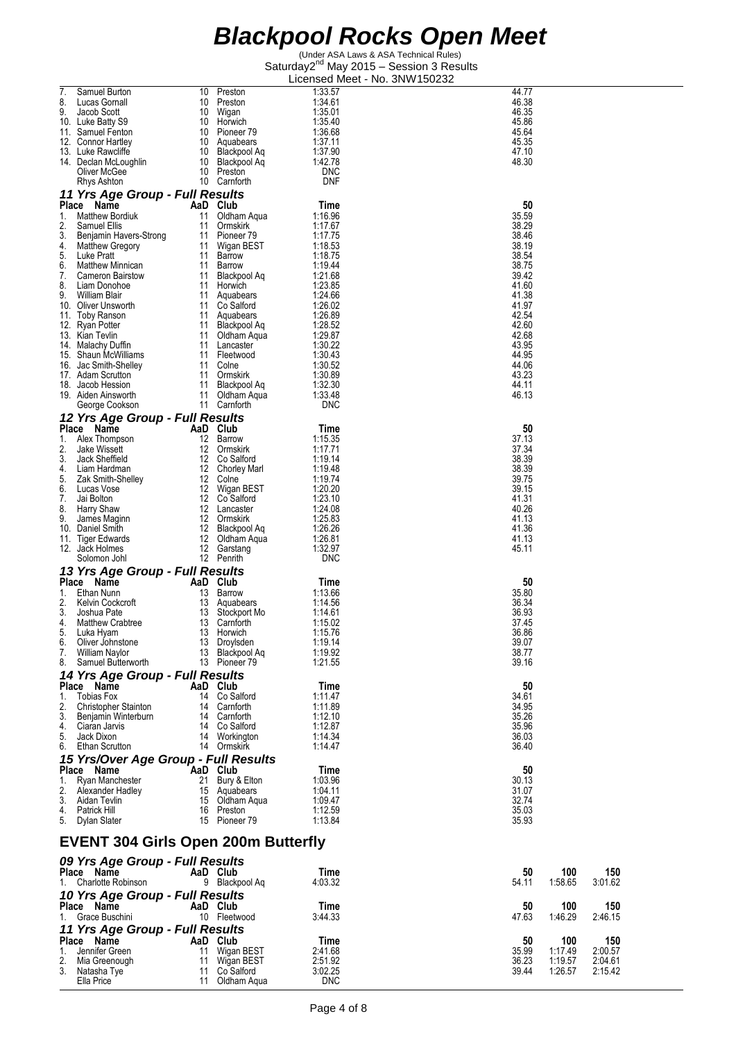(Under ASA Laws & ASA Technical Rules) Saturday2<sup>nd</sup> May 2015 - Session 3 Results Licensed Meet - No. 3NW150232

| 7. | Samuel Burton                              | 10 | Preston                    | 1:33.57    | 44.77 |         |         |
|----|--------------------------------------------|----|----------------------------|------------|-------|---------|---------|
| 8. | Lucas Gornall                              | 10 | Preston                    | 1:34.61    | 46.38 |         |         |
| 9. | Jacob Scott                                | 10 | Wigan                      | 1:35.01    | 46.35 |         |         |
|    | 10. Luke Batty S9                          |    | 10 Horwich                 | 1:35.40    | 45.86 |         |         |
|    | 11. Samuel Fenton                          |    | 10 Pioneer 79              | 1:36.68    | 45.64 |         |         |
|    | 12. Connor Hartley                         |    | 10 Aquabears               | 1.37.11    | 45.35 |         |         |
|    | 13. Luke Rawcliffe                         |    | 10 Blackpool Aq            | 1:37.90    | 47.10 |         |         |
|    | 14. Declan McLoughlin                      |    | 10 Blackpool Aq            | 1:42.78    | 48.30 |         |         |
|    | Oliver McGee                               |    | 10 Preston                 | <b>DNC</b> |       |         |         |
|    | Rhys Ashton                                |    | 10 Carnforth               | <b>DNF</b> |       |         |         |
|    | 11 Yrs Age Group - Full Results            |    |                            |            |       |         |         |
|    | Place Name                                 |    | AaD Club                   | Time       | 50    |         |         |
| 1. | <b>Matthew Bordiuk</b>                     | 11 | Oldham Aqua                | 1:16.96    | 35.59 |         |         |
| 2. | Samuel Ellis                               | 11 | Ormskirk                   | 1:17.67    | 38.29 |         |         |
| 3. | Benjamin Havers-Strong                     | 11 | Pioneer 79                 | 1:17.75    | 38.46 |         |         |
| 4. | <b>Matthew Gregory</b>                     | 11 | Wigan BEST                 | 1:18.53    | 38.19 |         |         |
| 5. | Luke Pratt                                 | 11 | Barrow                     | 1:18.75    | 38.54 |         |         |
| 6. | Matthew Minnican                           | 11 | Barrow                     | 1:19.44    | 38.75 |         |         |
| 7. | <b>Cameron Bairstow</b>                    | 11 | Blackpool Aq               | 1:21.68    | 39.42 |         |         |
| 8. | Liam Donohoe                               |    | 11 Horwich                 | 1:23.85    | 41.60 |         |         |
| 9. | William Blair                              |    | 11 Aquabears               | 1:24.66    | 41.38 |         |         |
|    | 10. Oliver Unsworth                        | 11 | Co Salford                 | 1:26.02    | 41.97 |         |         |
|    | 11. Toby Ranson                            |    | 11 Aquabears               | 1:26.89    | 42.54 |         |         |
|    | 12. Ryan Potter                            |    | 11 Blackpool Aq            | 1:28.52    | 42.60 |         |         |
|    | 13. Kian Tevlin                            | 11 | Oldham Aqua                | 1:29.87    | 42.68 |         |         |
|    | 14. Malachy Duffin                         |    | 11 Lancaster               | 1:30.22    | 43.95 |         |         |
|    | 15. Shaun McWilliams                       |    | 11 Fleetwood               | 1:30.43    | 44.95 |         |         |
|    | 16. Jac Smith-Shelley                      | 11 | Colne                      | 1:30.52    | 44.06 |         |         |
|    | 17. Adam Scrutton                          |    | 11 Ormskirk                | 1:30.89    | 43.23 |         |         |
|    | 18. Jacob Hession                          | 11 | Blackpool Aq               | 1:32.30    | 44.11 |         |         |
|    | 19. Aiden Ainsworth                        | 11 | Oldham Aqua                | 1:33.48    | 46.13 |         |         |
|    | George Cookson                             |    | 11 Carnforth               | <b>DNC</b> |       |         |         |
|    | 12 Yrs Age Group - Full Results            |    |                            |            |       |         |         |
|    | Place Name                                 |    | AaD Club                   | Time       | 50    |         |         |
| 1. | Alex Thompson                              |    | 12 Barrow                  | 1:15.35    | 37.13 |         |         |
| 2. | Jake Wissett                               |    | 12 Ormskirk                | 1:17.71    | 37.34 |         |         |
| 3. | Jack Sheffield                             |    | 12 Co Salford              | 1:19.14    | 38.39 |         |         |
| 4. | Liam Hardman                               |    | 12 Chorley Marl            | 1:19.48    | 38.39 |         |         |
| 5. | Zak Smith-Shelley                          |    | 12 Colne                   | 1:19.74    | 39.75 |         |         |
| 6. | Lucas Vose                                 |    | 12 Wigan BEST              | 1:20.20    | 39.15 |         |         |
| 7. | Jai Bolton                                 |    | 12 Co <sup>-</sup> Salford | 1:23.10    | 41.31 |         |         |
| 8. | Harry Shaw                                 |    | 12 Lancaster               | 1:24.08    | 40.26 |         |         |
| 9. | James Maginn                               |    | 12 Ormskirk                | 1:25.83    | 41.13 |         |         |
|    | 10. Daniel Smith                           |    | 12 Blackpool Aq            | 1:26.26    | 41.36 |         |         |
|    | 11. Tiger Edwards                          |    | 12 Oldham Aqua             | 1:26.81    | 41.13 |         |         |
|    | 12. Jack Holmes                            |    | 12 Garstang                | 1:32.97    | 45.11 |         |         |
|    | Solomon Johl                               |    | 12 Penrith                 | <b>DNC</b> |       |         |         |
|    | 13 Yrs Age Group - Full Results            |    |                            |            |       |         |         |
|    | Place Name                                 |    | AaD Club                   | Time       | 50    |         |         |
| 1. | Ethan Nunn                                 | 13 | Barrow                     | 1:13.66    | 35.80 |         |         |
| 2. | Kelvin Cockcroft                           | 13 | Aquabears                  | 1:14.56    | 36.34 |         |         |
| 3. | Joshua Pate                                | 13 | Stockport Mo               | 1:14.61    | 36.93 |         |         |
| 4. | <b>Matthew Crabtree</b>                    | 13 | Carnforth                  | 1:15.02    | 37.45 |         |         |
| 5. | Luka Hyam                                  | 13 | Horwich                    | 1:15.76    | 36.86 |         |         |
| 6. | Oliver Johnstone                           |    | 13 Droylsden               | 1:19.14    | 39.07 |         |         |
| 7. | <b>William Naylor</b>                      |    | 13 Blackpool Aq            | 1:19.92    | 38.77 |         |         |
| 8. | Samuel Butterworth                         |    | 13 Pioneer 79              | 1:21.55    | 39.16 |         |         |
|    | 14 Yrs Age Group - Full Results            |    |                            |            |       |         |         |
|    | Place Name                                 |    | AaD Club                   | Time       | 50    |         |         |
| 1. | <b>Tobias Fox</b>                          |    | 14 Co Salford              | 1:11.47    | 34.61 |         |         |
| 2. | <b>Christopher Stainton</b>                |    | 14 Carnforth               | 1:11.89    | 34.95 |         |         |
| 3. | Benjamin Winterburn                        |    | 14 Carnforth               | 1:12.10    | 35.26 |         |         |
| 4. | Ciaran Jarvis                              |    | 14 Co Salford              | 1:12.87    | 35.96 |         |         |
| 5. | Jack Dixon                                 |    | 14 Workington              | 1:14.34    | 36.03 |         |         |
|    | 6. Ethan Scrutton                          |    | 14 Ormskirk                | 1.14.47    | 36.40 |         |         |
|    | 15 Yrs/Over Age Group - Full Results       |    |                            |            |       |         |         |
|    | Place Name                                 |    | AaD Club                   | Time       | 50    |         |         |
| 1. | Ryan Manchester                            | 21 | Bury & Elton               | 1:03.96    | 30.13 |         |         |
| 2. | Alexander Hadley                           |    | 15 Aguabears               | 1:04.11    | 31.07 |         |         |
| 3. | Aidan Tevlin                               |    | 15 Oldham Aqua             | 1:09.47    | 32.74 |         |         |
| 4. | Patrick Hill                               | 16 | Preston                    | 1:12.59    | 35.03 |         |         |
| 5. | Dylan Slater                               |    | 15 Pioneer 79              | 1:13.84    | 35.93 |         |         |
|    |                                            |    |                            |            |       |         |         |
|    |                                            |    |                            |            |       |         |         |
|    | <b>EVENT 304 Girls Open 200m Butterfly</b> |    |                            |            |       |         |         |
|    | 09 Yrs Age Group - Full Results            |    |                            |            |       |         |         |
|    | Place Name                                 |    | AaD Club                   | Time       | 50    | 100     | 150     |
| 1. | Charlotte Robinson                         |    | 9 Blackpool Aq             | 4:03.32    | 54.11 | 1:58.65 | 3:01.62 |
|    |                                            |    |                            |            |       |         |         |
|    | 10 Yrs Age Group - Full Results            |    |                            |            |       |         |         |
|    | Place Name                                 |    | AaD Club                   | Time       | 50    | 100     | 150     |
|    | Grace Buschini                             |    | 10 Fleetwood               | 3:44.33    | 47.63 | 1:46.29 | 2:46.15 |
|    | 11 Yrs Age Group - Full Results            |    |                            |            |       |         |         |
|    | Place Name                                 |    | AaD Club                   | Time       | 50    | 100     | 150     |
| 1. | Jennifer Green                             | 11 | Wigan BEST                 | 2:41.68    | 35.99 | 1:17.49 | 2:00.57 |
| 2. | Mia Greenough                              |    | 11 Wigan BEST              | 2:51.92    | 36.23 | 1:19.57 | 2:04.61 |
|    | 3. Natasha Tye                             |    | 11 Co Salford              | 3:02.25    | 39.44 | 1:26.57 | 2:15.42 |

Ella Price 11 Oldham Aqua DNC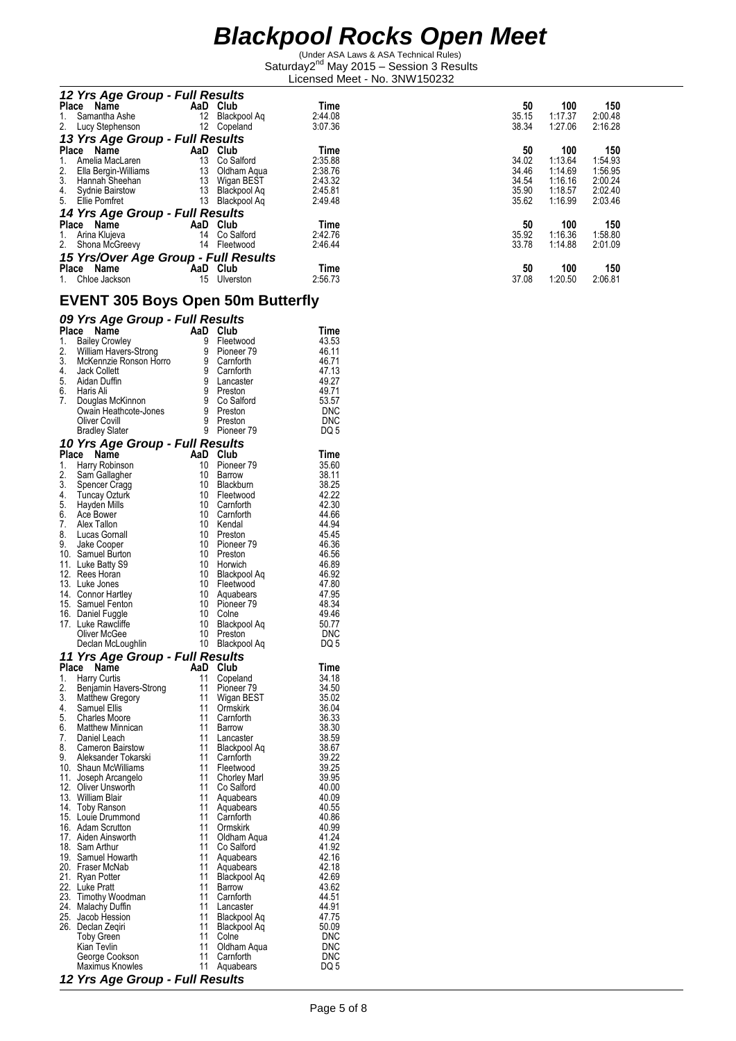(Under ASA Laws & ASA Technical Rules) Saturday2<sup>nd</sup> May 2015 - Session 3 Results Licensed Meet - No. 3NW150232

| 12 Yrs Age Group - Full Results         |     |              |         |       |         |         |
|-----------------------------------------|-----|--------------|---------|-------|---------|---------|
| <b>Place</b><br>Name                    | AaD | Club         | Time    | 50    | 100     | 150     |
| Samantha Ashe<br>1.                     | 12  | Blackpool Ag | 2:44.08 | 35.15 | 1:17.37 | 2:00.48 |
| 2. Lucy Stephenson                      | 12  | Copeland     | 3:07.36 | 38.34 | 1:27.06 | 2:16.28 |
| 13 Yrs Age Group - Full Results         |     |              |         |       |         |         |
| <b>Place</b><br>Name                    | AaD | Club         | Time    | 50    | 100     | 150     |
| Amelia MacLaren<br>1.                   | 13  | Co Salford   | 2:35.88 | 34.02 | 1:13.64 | 1:54.93 |
| $\frac{2}{3}$ .<br>Ella Bergin-Williams | 13  | Oldham Agua  | 2:38.76 | 34.46 | 1:14.69 | 1:56.95 |
| Hannah Sheehan                          | 13  | Wigan BEST   | 2:43.32 | 34.54 | 1:16.16 | 2:00.24 |
| 4.<br>Sydnie Bairstow                   | 13  | Blackpool Ag | 2:45.81 | 35.90 | 1:18.57 | 2:02.40 |
| 5. Ellie Pomfret                        | 13  | Blackpool Ag | 2:49.48 | 35.62 | 1:16.99 | 2:03.46 |
| 14 Yrs Age Group - Full Results         |     |              |         |       |         |         |
| Place<br>Name                           | AaD | Club         | Time    | 50    | 100     | 150     |
| Arina Klujeva<br>1.                     | 14  | Co Salford   | 2:42.76 | 35.92 | 1:16.36 | 1:58.80 |
| 2.<br>Shona McGreevy                    | 14  | Fleetwood    | 2:46.44 | 33.78 | 1:14.88 | 2:01.09 |
| 15 Yrs/Over Age Group - Full Results    |     |              |         |       |         |         |
| <b>Place</b><br>Name                    | AaD | Club         | Time    | 50    | 100     | 150     |
| Chloe Jackson<br>1.                     | 15  | Ulverston    | 2:56.73 | 37.08 | 1:20.50 | 2:06.81 |

#### **EVENT 305 Boys Open 50m Butterfly**

|  |  | 09 Yrs Age Group - Full Results |
|--|--|---------------------------------|
|  |  |                                 |

|     | . סי<br><u>.</u><br>Place Name                                          | AaD Club            |                        | Time               |
|-----|-------------------------------------------------------------------------|---------------------|------------------------|--------------------|
| 1.  | <b>Bailey Crowley</b>                                                   | 9                   | Fleetwood              | 43.53              |
| 2.  | William Havers-Strong                                                   | 9                   | Pioneer 79             | 46.11              |
|     | 3. McKennzie Ronson Horro                                               | 9                   | Carnforth              | 46.71              |
|     | 4. Jack Collett<br>5. Aidan Duffin                                      | 9                   | Carnforth              | 47.13              |
|     |                                                                         | 9                   | Lancaster              | 49.27              |
| 7.  | 6. Haris Ali<br>Douglas McKinnon                                        | 9<br>$\overline{9}$ | Preston                | 49.71<br>53.57     |
|     | Owain Heathcote-Jones                                                   | 9                   | Co Salford<br>Preston  | <b>DNC</b>         |
|     | Oliver Covill                                                           | 9                   | Preston                | <b>DNC</b>         |
|     | <b>Bradley Slater</b>                                                   | 9                   | Pioneer 79             | DQ 5               |
|     | 10 Yrs Age Group - Full Results                                         |                     |                        |                    |
|     | Place Name                                                              | AaD Club            |                        | Time               |
| 1.  | Harry Robinson                                                          | 10                  | Pioneer <sub>79</sub>  | 35.60              |
| 2.  | Sam Gallagher                                                           | 10                  | Barrow                 | 38.11              |
|     | Spencer Cragg                                                           | 10                  | Blackburn              | 38.25              |
|     | 3. Spencer Cragg<br>4. Tuncay Ozturk<br>5. Hayden Mills<br>6. Ace Bower | 10                  | Fleetwood              | 42.22              |
|     |                                                                         | 10<br>10            | Carnforth<br>Carnforth | 42.30<br>44.66     |
|     | 7. Alex Tallon                                                          | 10                  | Kendal                 | 44.94              |
|     | 8. Lucas Gornall                                                        | 10                  | Preston                | 45.45              |
|     | 9. Jake Cooper                                                          | 10                  | Pioneer 79             | 46.36              |
|     | 10. Samuel Burton                                                       |                     | 10 Preston             | 46.56              |
|     | 11. Luke Batty S9                                                       | 10                  | Horwich                | 46.89              |
|     | 12. Rees Horan                                                          |                     | 10 Blackpool Aq        | 46.92              |
|     | 13. Luke Jones                                                          |                     | 10 Fleetwood           | 47.80              |
|     | 14. Connor Hartley                                                      | 10                  | Aquabears              | 47.95              |
|     | 15. Samuel Fenton<br>16. Daniel Fuggle                                  | 10<br>10            | Pioneer 79<br>Colne    | 48.34<br>49.46     |
|     | 17. Luke Rawcliffe                                                      | 10                  | Blackpool Aq           | 50.77              |
|     | Oliver McGee                                                            | 10 <sup>°</sup>     | Preston                | DNC                |
|     | Declan McLoughlin                                                       |                     | 10 Blackpool Aq        | DQ 5               |
|     | 11 Yrs Age Group - Full Results                                         |                     |                        |                    |
|     | Place<br>Name                                                           | AaD Club            |                        | Time               |
|     | 1. Harry Curtis                                                         | 11                  | Copeland               | 34.18              |
| 2.  | Benjamin Havers-Strong                                                  | 11                  | Pioneer 79             | 34.50              |
|     | 3. Matthew Gregory<br>4. Samuel Ellis                                   | 11<br>11            | Wigan BEST             | 35.02              |
|     |                                                                         | 11                  | Ormskirk<br>Carnforth  | 36.04<br>36.33     |
|     | 5. Charles Moore<br>6. Matthew Minnican                                 | 11                  | Barrow                 | 38.30              |
|     | 7. Daniel Leach                                                         | 11                  | Lancaster              | 38.59              |
|     | 8. Cameron Bairstow                                                     | 11                  | Blackpool Aq           | 38.67              |
|     | 9. Aleksander Tokarski                                                  | 11                  | Carnforth              | 39.22              |
|     | 10. Shaun McWilliams                                                    | 11                  | Fleetwood              | 39.25              |
|     | 11. Joseph Arcangelo<br>12. Oliver Unsworth                             | 11                  | <b>Chorley Marl</b>    | 39.95              |
|     | 13. William Blair                                                       | 11                  | Co Salford             | 40.00              |
|     | 14. Toby Ranson                                                         | 11<br>11            | Aquabears<br>Aquabears | 40.09<br>40.55     |
|     | 15. Louie Drummond                                                      | 11                  | Carnforth              | 40.86              |
|     | 16. Adam Scrutton                                                       | 11                  | Ormskirk               | 40.99              |
|     | 17. Aiden Ainsworth                                                     | 11                  | Oldham Aqua            | 41.24              |
|     | 18. Sam Arthur                                                          | 11                  | Co Salford             | 41.92              |
|     | 19. Samuel Howarth                                                      | 11                  | Aquabears              | 42.16              |
|     | 20. Fraser McNab                                                        | 11                  | Aquabears              | 42.18              |
|     | 21. Ryan Potter                                                         | 11                  | Blackpool Aq           | 42.69              |
| 23. | 22. Luke Pratt                                                          | 11<br>11            | Barrow<br>Carnforth    | 43.62<br>44.51     |
|     | Timothy Woodman<br>24. Malachy Duffin                                   | 11                  | Lancaster              | 44.91              |
| 25. | Jacob Hession                                                           | 11                  | Blackpool Aq           | 47.75              |
|     | 26. Declan Zeqiri                                                       | 11                  | Blackpool Aq           | 50.09              |
|     |                                                                         |                     |                        | <b>DNC</b>         |
|     | <b>Toby Green</b>                                                       | 11                  | Colne                  |                    |
|     | Kian Tevlin                                                             | 11                  | Oldham Aqua            | <b>DNC</b>         |
|     | George Cookson<br>Maximus Knowles                                       | 11<br>11            | Carnforth<br>Aquabears | <b>DNC</b><br>DQ 5 |

*12 Yrs Age Group - Full Results*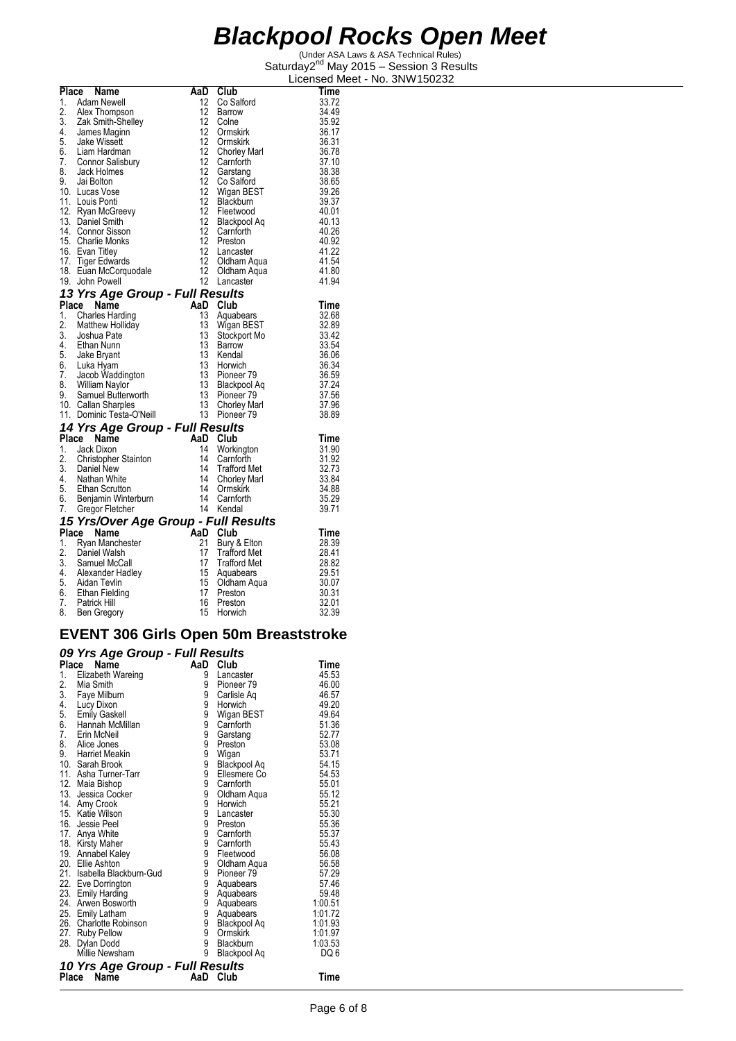(Under ASA Laws & ASA Technical Rules) Saturday2<sup>nd</sup> May 2015 - Session 3 Results Licensed Meet - No. 3NW150232

|    | Place Name                                                                                                                                       | AaD                     | Club                     | Time           |
|----|--------------------------------------------------------------------------------------------------------------------------------------------------|-------------------------|--------------------------|----------------|
| 1. | Adam Newell                                                                                                                                      | 12                      | Co Salford               | 33.72          |
| 2. | Alex Thompson                                                                                                                                    | 12                      | Barrow                   | 34.49          |
|    | 3. Zak Smith-Shelley                                                                                                                             | 12                      | Colne                    | 35.92          |
|    | 4. James Maginn<br>5. Jake Wissett                                                                                                               | 12                      | Ormskirk                 | 36.17          |
|    |                                                                                                                                                  | 12                      | Ormskirk                 | 36.31          |
|    | 6. Liam Hardman                                                                                                                                  | 12                      | <b>Chorley Marl</b>      | 36.78          |
| 7. | Connor Salisbury                                                                                                                                 | 12                      | Carnforth                | 37.10          |
| 8. | Jack Holmes                                                                                                                                      | 12                      | Garstang                 | 38.38          |
|    | 9. Jai Bolton                                                                                                                                    | 12                      | Co Salford               | 38.65          |
|    | 10. Lucas Vose                                                                                                                                   | 12                      | Wigan BEST               | 39.26          |
|    | 11. Louis Ponti                                                                                                                                  | 12                      | Blackburn                | 39.37          |
|    | 12. Ryan McGreevy                                                                                                                                | 12                      | Fleetwood                | 40.01          |
|    | 13. Daniel Smith                                                                                                                                 | 12                      | Blackpool Aq             | 40.13          |
|    | 14. Connor Sisson                                                                                                                                | $12 \overline{ }$<br>12 | Carnforth                | 40.26          |
|    | 15. Charlie Monks                                                                                                                                | 12                      | Preston                  | 40.92          |
|    | 16. Evan Titley                                                                                                                                  | 12                      | Lancaster                | 41.22          |
|    |                                                                                                                                                  | 12                      | Oldham Aqua              | 41.54<br>41.80 |
|    | 17. Tiger Edwards<br>18. Euan McCorquodale<br>19. John Powell<br>19. John Powell                                                                 | 12                      | Oldham Aqua<br>Lancaster | 41.94          |
|    |                                                                                                                                                  |                         |                          |                |
|    | 13 Yrs Age Group - Full Results                                                                                                                  |                         |                          |                |
|    | Place Name                                                                                                                                       |                         | AaD Club                 | Time           |
| 1. | Charles Harding                                                                                                                                  | 13                      | Aquabears                | 32.68          |
| 2. | Matthew Holliday                                                                                                                                 | 13                      | Wigan BEST               | 32.89<br>33.42 |
|    | 3. Joshua Pate                                                                                                                                   | 13                      | Stockport Mo             |                |
|    | 4. Ethan Nunn<br>5. Jake Bryant                                                                                                                  | 13<br>13                | Barrow                   | 33.54          |
|    |                                                                                                                                                  | 13                      | Kendal<br>Horwich        | 36.06<br>36.34 |
|    | 6. Luka Hyam<br>7. Jacob Waddington<br>8. William Naylor                                                                                         |                         |                          | 36.59          |
|    |                                                                                                                                                  |                         |                          | 37.24          |
|    |                                                                                                                                                  |                         |                          | 37.56          |
|    |                                                                                                                                                  |                         |                          | 37.96          |
|    |                                                                                                                                                  |                         |                          | 38.89          |
|    |                                                                                                                                                  |                         |                          |                |
|    | 14 Yrs Age Group - Full Results<br>Place Name                                                                                                    |                         | Club                     |                |
|    | 1. Jack Dixon                                                                                                                                    | AaD<br>14               |                          | Time<br>31.90  |
| 2. | Christopher Stainton                                                                                                                             | 14                      | Workington<br>Carnforth  | 31.92          |
|    |                                                                                                                                                  | 14                      | <b>Trafford Met</b>      | 32.73          |
|    |                                                                                                                                                  | 14                      | <b>Chorley Marl</b>      | 33.84          |
|    |                                                                                                                                                  | 14                      | Ormskirk                 | 34.88          |
|    |                                                                                                                                                  | 14                      | Carnforth                | 35.29          |
|    | 2. Christopher Grams.<br>3. Daniel New<br>4. Nathan White<br>5. Ethan Scrutton<br>6. Benjamin Winterburn<br>7. Codor Flatcher<br>Gregor Fletcher | 14                      | Kendal                   | 39.71          |
|    |                                                                                                                                                  |                         |                          |                |
|    | 15 Yrs/Over Age Group - Full Results<br>Place Name                                                                                               | AaD                     | Club                     | Time           |
| 1. | Ryan Manchester                                                                                                                                  | 21                      | Bury & Elton             | 28.39          |
| 2. | Daniel Walsh                                                                                                                                     | 17                      | <b>Trafford Met</b>      | 28.41          |
|    | 3. Samuel McCall                                                                                                                                 | 17                      | <b>Trafford Met</b>      | 28.82          |
|    | 4. Alexander Hadley                                                                                                                              | 15                      | Aquabears                | 29.51          |
|    |                                                                                                                                                  | 15                      | Oldham Aqua              | 30.07          |
|    |                                                                                                                                                  | 17                      | Preston                  | 30.31          |
|    | 5. Aidan Tevlin<br>6. Ethan Fielding<br>7. Patrick Hill                                                                                          | 16                      | Preston                  | 32.01          |
|    | 8. Ben Gregory                                                                                                                                   | 15                      | Horwich                  | 32.39          |
|    |                                                                                                                                                  |                         |                          |                |

#### **EVENT 306 Girls Open 50m Breaststroke**

#### *09 Yrs Age Group - Full Results*

|                  | $1.9190$ and $4.94$             |     |                       |         |
|------------------|---------------------------------|-----|-----------------------|---------|
|                  | Place Name                      | AaD | Club                  | Time    |
| 1.               | Elizabeth Wareing               | 9   | Lancaster             | 45.53   |
| 2.               | Mia Smith                       | 9   | Pioneer <sub>79</sub> | 46.00   |
| $\overline{3}$ . | Faye Milburn                    | 9   | Carlisle Aq           | 46.57   |
| 4.               | Lucy Dixon                      | 9   | Horwich               | 49.20   |
| 5.               | <b>Emily Gaskell</b>            | 9   | Wigan BEST            | 49.64   |
| 6.               | Hannah McMillan                 | 9   | Carnforth             | 51.36   |
| 7.               | Erin McNeil                     | 9   | Garstang              | 52.77   |
| 8.               | Alice Jones                     | 9   | Preston               | 53.08   |
| 9.               | Harriet Meakin                  | ġ.  | Wigan                 | 53.71   |
|                  | 10. Sarah Brook                 | 9   | Blackpool Aq          | 54.15   |
|                  | 11. Asha Turner-Tarr            | 9   | Ellesmere Co          | 54.53   |
|                  | 12. Maia Bishop                 | 9   | Carnforth             | 55.01   |
|                  | 13. Jessica Cocker              | 9   | Oldham Aqua           | 55.12   |
|                  | 14. Amy Crook                   | 9   | Horwich               | 55.21   |
|                  | 15. Katie Wilson                | 9   | Lancaster             | 55.30   |
|                  | 16. Jessie Peel                 | 9   | Preston               | 55.36   |
|                  | 17. Anya White                  | 9   | Carnforth             | 55.37   |
|                  | 18. Kirsty Maher                | 9   | Carnforth             | 55.43   |
|                  | 19. Annabel Kaley               | 9   | Fleetwood             | 56.08   |
|                  | 20. Ellie Ashton                | 9   | Oldham Aqua           | 56.58   |
|                  | 21. Isabella Blackburn-Gud      | 9   | Pioneer <sub>79</sub> | 57.29   |
|                  | 22. Eve Dorrington              | 9   | Aquabears             | 57.46   |
|                  | 23. Emily Harding               | 9   | Aquabears             | 59.48   |
|                  | 24. Arwen Bosworth              | 9   | Aquabears             | 1:00.51 |
|                  | 25. Emily Latham                | 9   | Aquabears             | 1:01.72 |
|                  | 26. Charlotte Robinson          | 9   | Blackpool Aq          | 1:01.93 |
|                  | 27. Ruby Pellow                 | 9   | Ormskirk              | 1:01.97 |
| 28.              | Dylan Dodd                      | 9   | Blackburn             | 1:03.53 |
|                  | Millie Newsham                  | 9   | Blackpool Aq          | DQ 6    |
|                  | 10 Yrs Age Group - Full Results |     |                       |         |
| Place            | Name                            | AaD | Club                  | Time    |
|                  |                                 |     |                       |         |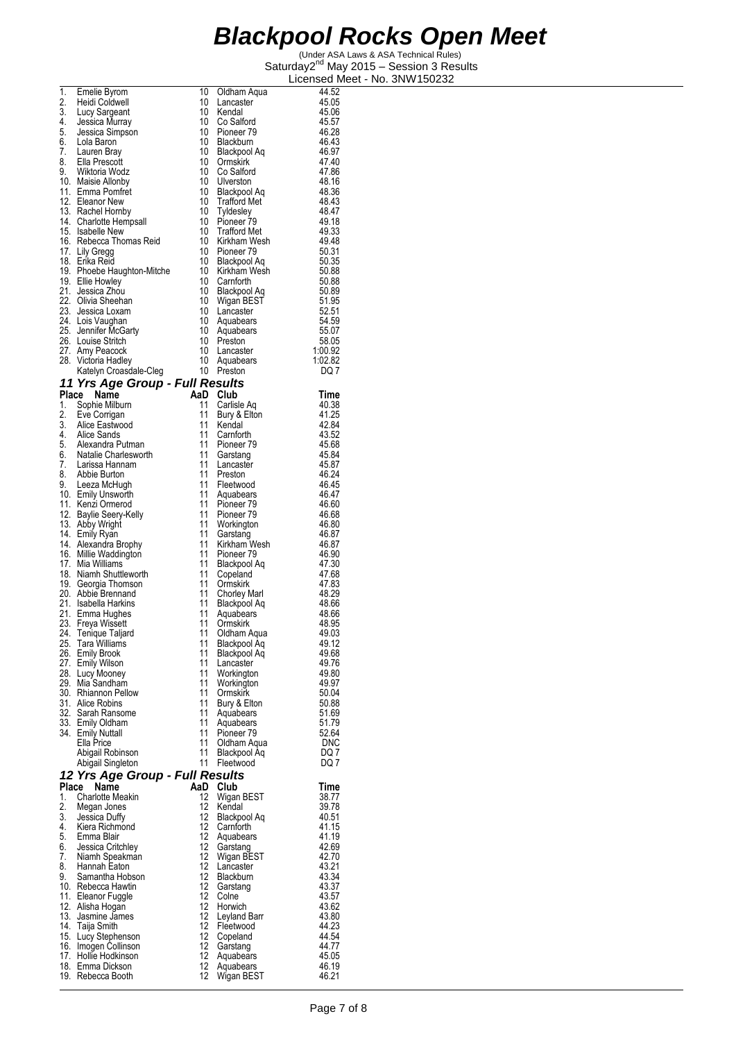| 1.    | Emelie Byrom                                           | 10        | Oldham Aqua                  | 44.52          |
|-------|--------------------------------------------------------|-----------|------------------------------|----------------|
| 2.    | Heidi Coldwell                                         | 10<br>10  | Lancaster                    | 45.05          |
|       | 3. Lucy Sargeant<br>4. Jessica Murray                  | 10        | Kendal<br>Co Salford         | 45.06<br>45.57 |
| 5.    | Jessica Simpson                                        | 10        | Pioneer <sub>79</sub>        | 46.28          |
|       | 6. Lola Baron                                          | 10        | Blackburn                    | 46.43          |
| 7.    | Lauren Bray                                            | 10        | Blackpool Aq                 | 46.97<br>47.40 |
| 8.    | Ella Prescott<br>9. Wiktoria Wodz                      | 10<br>10  | Ormskirk<br>Co Salford       | 47.86          |
|       | 10. Maisie Allonby                                     | 10        | Ulverston                    | 48.16          |
|       | 11. Emma Pomtret                                       | 10        | <b>Blackpool Aq</b>          | 48.36          |
|       | 12. Eleanor New                                        | 10        | <b>Trafford Met</b>          | 48.43          |
|       | 13. Rachel Hornby<br>14. Charlotte Hempsall            | 10<br>10  | Tyldesley<br>Pioneer 79      | 48.47<br>49.18 |
|       | 15. Isabelle New                                       | 10        | <b>Trafford Met</b>          | 49.33          |
|       | 16. Rebecca Thomas Reid                                | 10        | Kirkham Wesh                 | 49.48          |
|       | 17. Lily Gregg                                         | 10        | Pioneer <sub>79</sub>        | 50.31          |
|       | 18. Erika Reid                                         | 10<br>10  | Blackpool Aq<br>Kirkham Wesh | 50.35<br>50.88 |
|       | 19. Phoebe Haughton-Mitche<br>19. Ellie Howley         | 10        | Carnforth                    | 50.88          |
|       | 21. Jessica Zhou                                       | 10        | Blackpool Aq                 | 50.89          |
|       | 22. Olivia Sheehan                                     | 10        | Wigan BEST                   | 51.95          |
|       | 23. Jessica Loxam                                      | 10<br>10  | Lancaster                    | 52.51          |
|       | 24. Lois Vaughan<br>25. Jennifer McGarty               | 10        | Aquabears<br>Aquabears       | 54.59<br>55.07 |
|       | 26. Louise Stritch                                     | 10        | Preston                      | 58.05          |
|       | 27. Amy Peacock                                        | 10        | Lancaster                    | 1:00.92        |
|       | 28. Victoria Hadley                                    | 10        | Aquabears                    | 1:02.82        |
|       | Katelyn Croasdale-Cleg                                 |           | 10 Preston                   | DQ 7           |
|       | 11 Yrs Age Group - Full Results                        |           |                              |                |
|       | Place Name<br>1. Sophie Milburn                        | AaD<br>11 | Club<br>Carlisle Aq          | Time<br>40.38  |
|       |                                                        | 11        | Bury & Elton                 | 41.25          |
|       | 2. Eve Corrigan<br>3. Alice Eastwood<br>4. Alice Sands | 11        | Kendal                       | 42.84          |
|       |                                                        | 11        | Carnforth                    | 43.52          |
|       | 5. Alexandra Putman<br>6. Natalie Charlesworth         | 11        | Pioneer 79                   | 45.68          |
| 7.    | Larissa Hannam                                         | 11<br>11  | Garstang<br>Lancaster        | 45.84<br>45.87 |
| 8.    | Abbie Burton                                           | 11        | Preston                      | 46.24          |
|       | 9. Leeza McHugh                                        | 11        | Fleetwood                    | 46.45          |
|       | 10. Emily Unsworth                                     | 11        | Aquabears                    | 46.47          |
|       | 11. Kenzi Ormerod                                      | 11        | Pioneer 79                   | 46.60          |
|       | 12. Baylie Seery-Kelly<br>13. Abby Wright              | 11<br>11  | Pioneer 79                   | 46.68<br>46.80 |
|       | 14. Emily Ryan                                         | 11        | Workington<br>Garstang       | 46.87          |
|       | 14. Alexandra Brophy                                   | 11        | Kirkham Wesh                 | 46.87          |
|       | 16. Millie Waddington                                  | 11        | Pioneer 79                   | 46.90          |
|       | 17. Mia Williams                                       | 11        | Blackpool Aq                 | 47.30          |
|       | 18. Niamh Shuttleworth<br>19. Georgia Thomson          | 11<br>11  | Copeland<br>Ormskirk         | 47.68<br>47.83 |
|       | 20. Abbie Brennand                                     | 11        | <b>Chorley Marl</b>          | 48.29          |
|       | 21. Isabella Harkins                                   | 11        | Blackpool Aq                 | 48.66          |
|       | 21. Emma Hughes                                        | 11        | Aquabears                    | 48.66          |
|       | 23. Freya Wissett                                      | 11        | Ormskirk                     | 48.95          |
| 25.   | 24. Tenique Taljard<br>Tara Williams                   | 11<br>11  | Oldham Aqua<br>Blackpool Aq  | 49.03<br>49.12 |
|       | 26. Emily Brook                                        | 11        | Blackpool Aq                 | 49.68          |
|       | 27. Emily Wilson                                       | 11        | Lancaster                    | 49.76          |
|       | 28. Lucy Mooney                                        | 11        | Workington                   | 49.80          |
|       | 29. Mia Sandham                                        | 11        | Workington                   | 49.97          |
|       | 30. Rhiannon Pellow<br>31. Alice Robins                | 11<br>11  | Ormskirk<br>Bury & Elton     | 50.04<br>50.88 |
|       | 32. Sarah Ransome                                      | 11        | Aquabears                    | 51.69          |
|       | 33. Emily Oldham                                       | 11        | Aquabears                    | 51.79          |
|       | 34. Emily Nuttall                                      | 11        | Pioneer 79                   | 52.64          |
|       | Ella Price                                             | 11<br>11  | Oldham Aqua                  | DNC            |
|       | Abigail Robinson<br>Abigail Singleton                  | 11        | Blackpool Aq<br>Fleetwood    | DQ 7<br>DQ 7   |
|       | 12 Yrs Age Group - Full Results                        |           |                              |                |
| Place | Name                                                   | AaD       | Club                         | Time           |
| 1.    | Charlotte Meakin                                       | 12        | Wigan BEST                   | 38.77          |
| 2.    | Megan Jones                                            | 12        | Kendal                       | 39.78          |
| 3.    | Jessica Duffy                                          | 12        | Blackpool Aq                 | 40.51          |
|       | 4. Kiera Richmond<br>5. Emma Blair                     | 12<br>12  | Carnforth<br>Aquabears       | 41.15<br>41.19 |
|       | 6. Jessica Critchley                                   | 12        | Garstang                     | 42.69          |
| 7.    | Niamh Speakman                                         | 12        | Wigan BEST                   | 42.70          |
| 8.    | Hannah Eaton                                           | 12        | Lancaster                    | 43.21          |
| 9.    | Samantha Hobson                                        | 12        | Blackburn                    | 43.34          |
|       | 10. Rebecca Hawtin<br>11. Eleanor Fuggle               | 12<br>12  | Garstang<br>Colne            | 43.37<br>43.57 |
|       | 12. Alisha Hogan                                       | 12        | Horwich                      | 43.62          |
|       | 13. Jasmine James                                      | 12        | Leyland Barr                 | 43.80          |
|       | 14. Taija Smith                                        | 12        | Fleetwood                    | 44.23          |
|       | 15. Lucy Stephenson                                    | 12        | Copeland                     | 44.54          |
|       | 16. Imogen Collinson                                   | 12<br>12  | Garstang                     | 44.77          |
|       | 17. Hollie Hodkinson<br>18. Emma Dickson               | 12        | Aquabears<br>Aquabears       | 45.05<br>46.19 |
|       | 19. Rebecca Booth                                      | 12        | Wigan BEST                   | 46.21          |